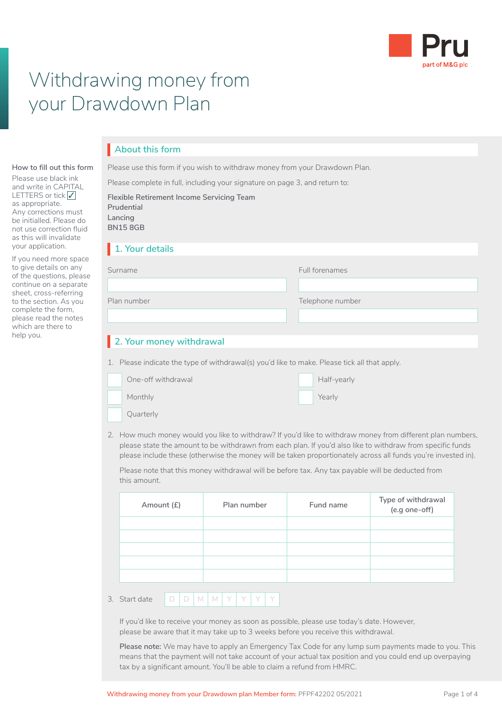

# Withdrawing money from your Drawdown Plan

## **About this form** I

Please use this form if you wish to withdraw money from your Drawdown Plan.

Please complete in full, including your signature on page 3, and return to:

|   | Flexible Retirement Income Servicing Team<br>Prudential<br>Lancing<br><b>BN158GB</b>                                                                                                                                                                                                                                                      |             |                  |                                     |  |  |  |
|---|-------------------------------------------------------------------------------------------------------------------------------------------------------------------------------------------------------------------------------------------------------------------------------------------------------------------------------------------|-------------|------------------|-------------------------------------|--|--|--|
|   | 1. Your details                                                                                                                                                                                                                                                                                                                           |             |                  |                                     |  |  |  |
|   | Surname                                                                                                                                                                                                                                                                                                                                   |             | Full forenames   |                                     |  |  |  |
| e |                                                                                                                                                                                                                                                                                                                                           |             |                  |                                     |  |  |  |
|   | Plan number                                                                                                                                                                                                                                                                                                                               |             | Telephone number |                                     |  |  |  |
|   |                                                                                                                                                                                                                                                                                                                                           |             |                  |                                     |  |  |  |
|   | 2. Your money withdrawal                                                                                                                                                                                                                                                                                                                  |             |                  |                                     |  |  |  |
|   | 1. Please indicate the type of withdrawal(s) you'd like to make. Please tick all that apply.                                                                                                                                                                                                                                              |             |                  |                                     |  |  |  |
|   | One-off withdrawal                                                                                                                                                                                                                                                                                                                        |             | Half-yearly      |                                     |  |  |  |
|   | Monthly                                                                                                                                                                                                                                                                                                                                   |             | Yearly           |                                     |  |  |  |
|   | Quarterly                                                                                                                                                                                                                                                                                                                                 |             |                  |                                     |  |  |  |
|   | 2. How much money would you like to withdraw? If you'd like to withdraw money from different plan numbers,<br>please state the amount to be withdrawn from each plan. If you'd also like to withdraw from specific funds<br>please include these (otherwise the money will be taken proportionately across all funds you're invested in). |             |                  |                                     |  |  |  |
|   | Please note that this money withdrawal will be before tax. Any tax payable will be deducted from<br>this amount.                                                                                                                                                                                                                          |             |                  |                                     |  |  |  |
|   | Amount (£)                                                                                                                                                                                                                                                                                                                                | Plan number | Fund name        | Type of withdrawal<br>(e.g one-off) |  |  |  |
|   |                                                                                                                                                                                                                                                                                                                                           |             |                  |                                     |  |  |  |

**Withdrawing money from your Drawdown plan Member form: PFPF42202 05/2021** Page 1 of 4

**How to fill out this form** Please use black ink and write in CAPITAL LETTERS or tick √<br>as appropriate as appropriate. Any corrections must be initialled. Please do not use correction fluid as this will invalidate your application.

If you need more space to give details on any of the questions, please continue on a separate sheet, cross-referring to the section. As you complete the form, please read the notes which are there to help you.

| Amount (£) | Plan number | Fund name | iype or withdrawdi<br>(e.g one-off) |
|------------|-------------|-----------|-------------------------------------|
|            |             |           |                                     |
|            |             |           |                                     |
|            |             |           |                                     |
|            |             |           |                                     |
|            |             |           |                                     |
|            |             |           |                                     |

3. Start date

D | D | M | M | Y | Y | Y | Y

If you'd like to receive your money as soon as possible, please use today's date. However, please be aware that it may take up to 3 weeks before you receive this withdrawal.

**Please note:** We may have to apply an Emergency Tax Code for any lump sum payments made to you. This means that the payment will not take account of your actual tax position and you could end up overpaying tax by a significant amount. You'll be able to claim a refund from HMRC.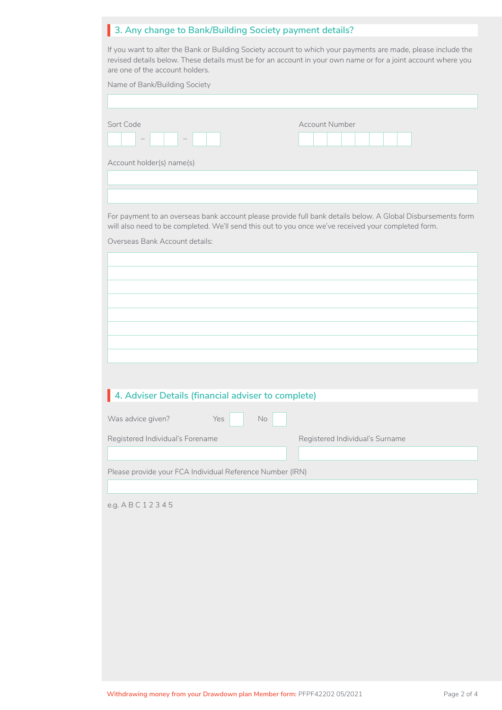## **3. Any change to Bank/Building Society payment details?** I

If you want to alter the Bank or Building Society account to which your payments are made, please include the revised details below. These details must be for an account in your own name or for a joint account where you are one of the account holders.

| Name of Bank/Building Society                                                                                                                                                                                      |                                 |  |  |  |  |  |
|--------------------------------------------------------------------------------------------------------------------------------------------------------------------------------------------------------------------|---------------------------------|--|--|--|--|--|
|                                                                                                                                                                                                                    |                                 |  |  |  |  |  |
| Sort Code                                                                                                                                                                                                          | <b>Account Number</b>           |  |  |  |  |  |
| Account holder(s) name(s)                                                                                                                                                                                          |                                 |  |  |  |  |  |
|                                                                                                                                                                                                                    |                                 |  |  |  |  |  |
|                                                                                                                                                                                                                    |                                 |  |  |  |  |  |
| For payment to an overseas bank account please provide full bank details below. A Global Disbursements form<br>will also need to be completed. We'll send this out to you once we've received your completed form. |                                 |  |  |  |  |  |
| Overseas Bank Account details:                                                                                                                                                                                     |                                 |  |  |  |  |  |
|                                                                                                                                                                                                                    |                                 |  |  |  |  |  |
|                                                                                                                                                                                                                    |                                 |  |  |  |  |  |
|                                                                                                                                                                                                                    |                                 |  |  |  |  |  |
|                                                                                                                                                                                                                    |                                 |  |  |  |  |  |
|                                                                                                                                                                                                                    |                                 |  |  |  |  |  |
|                                                                                                                                                                                                                    |                                 |  |  |  |  |  |
|                                                                                                                                                                                                                    |                                 |  |  |  |  |  |
|                                                                                                                                                                                                                    |                                 |  |  |  |  |  |
| 4. Adviser Details (financial adviser to complete)                                                                                                                                                                 |                                 |  |  |  |  |  |
| Was advice given?<br>Yes<br>No                                                                                                                                                                                     |                                 |  |  |  |  |  |
| Registered Individual's Forename                                                                                                                                                                                   | Registered Individual's Surname |  |  |  |  |  |
|                                                                                                                                                                                                                    |                                 |  |  |  |  |  |
| Please provide your FCA Individual Reference Number (IRN)                                                                                                                                                          |                                 |  |  |  |  |  |
|                                                                                                                                                                                                                    |                                 |  |  |  |  |  |
| e.g. ABC12345                                                                                                                                                                                                      |                                 |  |  |  |  |  |
|                                                                                                                                                                                                                    |                                 |  |  |  |  |  |
|                                                                                                                                                                                                                    |                                 |  |  |  |  |  |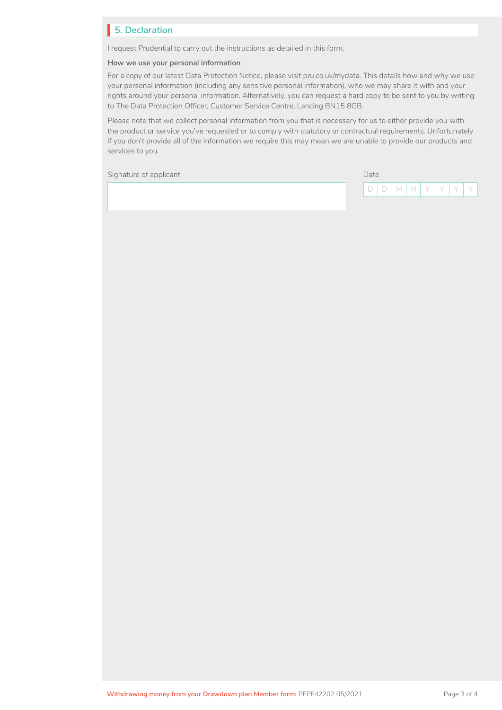## **5. Declaration** I

I request Prudential to carry out the instructions as detailed in this form.

#### **How we use your personal information**

For a copy of our latest Data Protection Notice, please visit [pru.co.uk/mydata.](https://www.pru.co.uk/mydata) This details how and why we use your personal information (including any sensitive personal information), who we may share it with and your rights around your personal information. Alternatively, you can request a hard copy to be sent to you by writing to The Data Protection Officer, Customer Service Centre, Lancing BN15 8GB.

Please note that we collect personal information from you that is necessary for us to either provide you with the product or service you've requested or to comply with statutory or contractual requirements. Unfortunately if you don't provide all of the information we require this may mean we are unable to provide our products and services to you.

Signature of applicant Date Communication of the Date Date Date Date